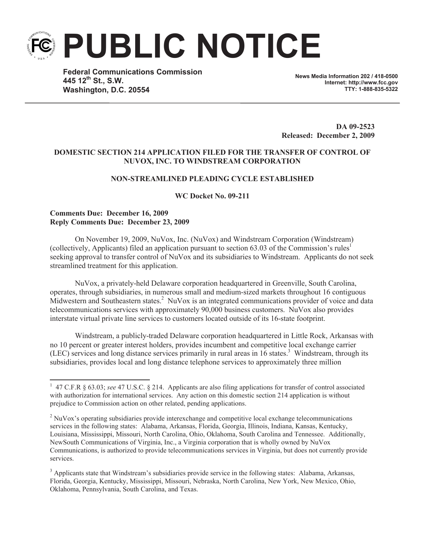**PUBLIC NOTICE**

**Federal Communications Commission 445 12th St., S.W. Washington, D.C. 20554**

**News Media Information 202 / 418-0500 Internet: http://www.fcc.gov TTY: 1-888-835-5322**

**DA 09-2523 Released: December 2, 2009**

# **DOMESTIC SECTION 214 APPLICATION FILED FOR THE TRANSFER OF CONTROL OF NUVOX, INC. TO WINDSTREAM CORPORATION**

## **NON-STREAMLINED PLEADING CYCLE ESTABLISHED**

**WC Docket No. 09-211**

# **Comments Due: December 16, 2009 Reply Comments Due: December 23, 2009**

On November 19, 2009, NuVox, Inc. (NuVox) and Windstream Corporation (Windstream) (collectively, Applicants) filed an application pursuant to section 63.03 of the Commission's rules<sup>1</sup> seeking approval to transfer control of NuVox and its subsidiaries to Windstream. Applicants do not seek streamlined treatment for this application.

NuVox, a privately-held Delaware corporation headquartered in Greenville, South Carolina, operates, through subsidiaries, in numerous small and medium-sized markets throughout 16 contiguous Midwestern and Southeastern states.<sup>2</sup> NuVox is an integrated communications provider of voice and data telecommunications services with approximately 90,000 business customers. NuVox also provides interstate virtual private line services to customers located outside of its 16-state footprint.

Windstream, a publicly-traded Delaware corporation headquartered in Little Rock, Arkansas with no 10 percent or greater interest holders, provides incumbent and competitive local exchange carrier (LEC) services and long distance services primarily in rural areas in 16 states.<sup>3</sup> Windstream, through its subsidiaries, provides local and long distance telephone services to approximately three million

<sup>&</sup>lt;sup>1</sup> 47 C.F.R § 63.03; *see* 47 U.S.C. § 214. Applicants are also filing applications for transfer of control associated with authorization for international services. Any action on this domestic section 214 application is without prejudice to Commission action on other related, pending applications.

<sup>&</sup>lt;sup>2</sup> NuVox's operating subsidiaries provide interexchange and competitive local exchange telecommunications services in the following states: Alabama, Arkansas, Florida, Georgia, Illinois, Indiana, Kansas, Kentucky, Louisiana, Mississippi, Missouri, North Carolina, Ohio, Oklahoma, South Carolina and Tennessee. Additionally, NewSouth Communications of Virginia, Inc., a Virginia corporation that is wholly owned by NuVox Communications, is authorized to provide telecommunications services in Virginia, but does not currently provide services.

<sup>&</sup>lt;sup>3</sup> Applicants state that Windstream's subsidiaries provide service in the following states: Alabama, Arkansas, Florida, Georgia, Kentucky, Mississippi, Missouri, Nebraska, North Carolina, New York, New Mexico, Ohio, Oklahoma, Pennsylvania, South Carolina, and Texas.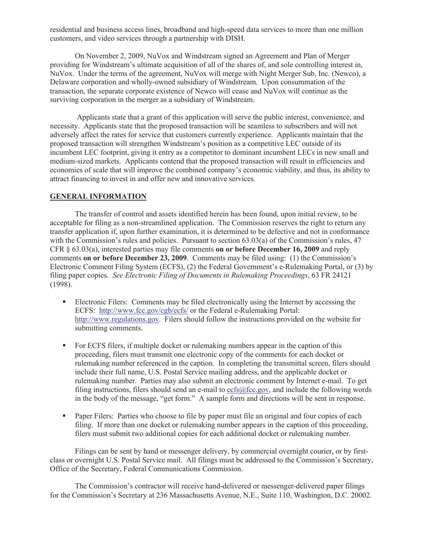residential and business access lines, broadband and high-speed data services to more than one million customers, and video services through a partnership with DISH.

On November 2, 2009, NuVox and Windstream signed an Agreement and Plan of Merger providing for Windstream's ultimate acquisition of all of the shares of, and sole controlling interest in, NuVox. Under the terms of the agreement, NuVox will merge with Night Merger Sub, Inc. (Newco), a Delaware corporation and wholly-owned subsidiary of Windstream. Upon consummation of the transaction, the separate corporate existence of Newco will cease and NuVox will continue as the surviving corporation in the merger as a subsidiary of Windstream.

Applicants state that a grant of this application will serve the public interest, convenience, and necessity. Applicants state that the proposed transaction will be seamless to subscribers and will not adversely affect the rates for service that customers currently experience. Applicants maintain that the proposed transaction will strengthen Windstream's position as a competitive LEC outside of its incumbent LEC footprint, giving it entry as a competitor to dominant incumbent LECs in new small and medium-sized markets. Applicants contend that the proposed transaction will result in efficiencies and economies of scale that will improve the combined company's economic viability, and thus, its ability to attract financing to invest in and offer new and innovative services.

# **GENERAL INFORMATION**

The transfer of control and assets identified herein has been found, upon initial review, to be acceptable for filing as a non-streamlined application. The Commission reserves the right to return any transfer application if, upon further examination, it is determined to be defective and not in conformance with the Commission's rules and policies. Pursuant to section 63.03(a) of the Commission's rules, 47 CFR § 63.03(a), interested parties may file comments **on or before December 16, 2009** and reply comments **on or before December 23, 2009**. Comments may be filed using: (1) the Commission's Electronic Comment Filing System (ECFS), (2) the Federal Government's e-Rulemaking Portal, or (3) by filing paper copies. *See Electronic Filing of Documents in Rulemaking Proceedings*, 63 FR 24121 (1998).

- Electronic Filers: Comments may be filed electronically using the Internet by accessing the ECFS: http://www.fcc.gov/cgb/ecfs/ or the Federal e-Rulemaking Portal: http://www.regulations.gov. Filers should follow the instructions provided on the website for submitting comments.
- For ECFS filers, if multiple docket or rulemaking numbers appear in the caption of this proceeding, filers must transmit one electronic copy of the comments for each docket or rulemaking number referenced in the caption. In completing the transmittal screen, filers should include their full name, U.S. Postal Service mailing address, and the applicable docket or rulemaking number. Parties may also submit an electronic comment by Internet e-mail. To get filing instructions, filers should send an e-mail to  $\frac{\text{ecfs@fcc.gov}}{\text{ecfs@fcc.gov}}$ , and include the following words in the body of the message, "get form." A sample form and directions will be sent in response.
- Paper Filers: Parties who choose to file by paper must file an original and four copies of each filing. If more than one docket or rulemaking number appears in the caption of this proceeding, filers must submit two additional copies for each additional docket or rulemaking number.

Filings can be sent by hand or messenger delivery, by commercial overnight courier, or by firstclass or overnight U.S. Postal Service mail. All filings must be addressed to the Commission's Secretary, Office of the Secretary, Federal Communications Commission.

The Commission's contractor will receive hand-delivered or messenger-delivered paper filings for the Commission's Secretary at 236 Massachusetts Avenue, N.E., Suite 110, Washington, D.C. 20002.